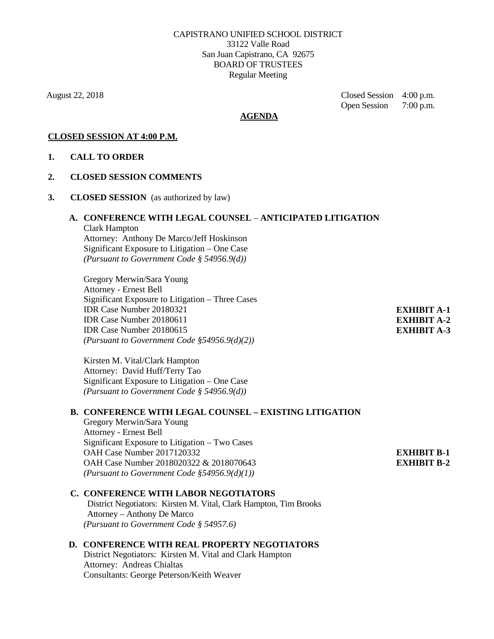August 22, 2018 Closed Session4:00 p.m. Open Session 7:00 p.m.

### **AGENDA**

# **CLOSED SESSION AT 4:00 P.M.**

### **1. CALL TO ORDER**

### **2. CLOSED SESSION COMMENTS**

**3. CLOSED SESSION** (as authorized by law)

# **A. CONFERENCE WITH LEGAL COUNSEL** – **ANTICIPATED LITIGATION**

Clark Hampton Attorney: Anthony De Marco/Jeff Hoskinson Significant Exposure to Litigation – One Case *(Pursuant to Government Code § 54956.9(d))*

Gregory Merwin/Sara Young Attorney - Ernest Bell Significant Exposure to Litigation – Three Cases IDR Case Number 20180321 IDR Case Number 20180611 IDR Case Number 20180615 *(Pursuant to Government Code §54956.9(d)(2))*

Kirsten M. Vital/Clark Hampton Attorney: David Huff/Terry Tao Significant Exposure to Litigation – One Case *(Pursuant to Government Code § 54956.9(d))*

### **B. CONFERENCE WITH LEGAL COUNSEL – EXISTING LITIGATION**

Gregory Merwin/Sara Young Attorney - Ernest Bell Significant Exposure to Litigation – Two Cases OAH Case Number 2017120332 OAH Case Number 2018020322 & 2018070643 *(Pursuant to Government Code §54956.9(d)(1))*

### **C. CONFERENCE WITH LABOR NEGOTIATORS**

District Negotiators: Kirsten M. Vital, Clark Hampton, Tim Brooks Attorney – Anthony De Marco *(Pursuant to Government Code § 54957.6)*

### **D. CONFERENCE WITH REAL PROPERTY NEGOTIATORS**

District Negotiators: Kirsten M. Vital and Clark Hampton Attorney: Andreas Chialtas Consultants: George Peterson/Keith Weaver

**EXHIBIT A-1 EXHIBIT A-2 EXHIBIT A-3**

**EXHIBIT B-1 EXHIBIT B-2**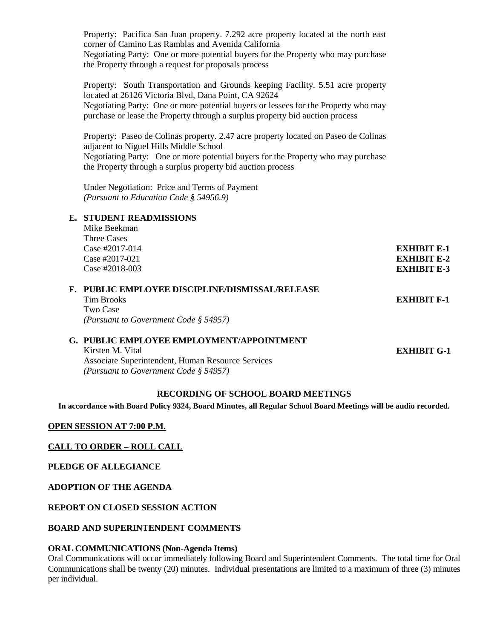Property: Pacifica San Juan property. 7.292 acre property located at the north east corner of Camino Las Ramblas and Avenida California Negotiating Party: One or more potential buyers for the Property who may purchase the Property through a request for proposals process

Property: South Transportation and Grounds keeping Facility. 5.51 acre property located at 26126 Victoria Blvd, Dana Point, CA 92624 Negotiating Party: One or more potential buyers or lessees for the Property who may purchase or lease the Property through a surplus property bid auction process

Property: Paseo de Colinas property. 2.47 acre property located on Paseo de Colinas adjacent to Niguel Hills Middle School Negotiating Party: One or more potential buyers for the Property who may purchase the Property through a surplus property bid auction process

Under Negotiation: Price and Terms of Payment *(Pursuant to Education Code § 54956.9)*

# **E. STUDENT READMISSIONS**

| Mike Beekman      |                    |
|-------------------|--------------------|
| Three Cases       |                    |
| Case #2017-014    | EXHIBIT E-1        |
| Case #2017-021    | <b>EXHIBIT E-2</b> |
| Case $\#2018-003$ | <b>EXHIBIT E-3</b> |
|                   |                    |

| F. PUBLIC EMPLOYEE DISCIPLINE/DISMISSAL/RELEASE |             |
|-------------------------------------------------|-------------|
| Tim Brooks                                      | EXHIBIT F-1 |
| Two Case                                        |             |
| (Pursuant to Government Code $\S$ 54957)        |             |

# **G. PUBLIC EMPLOYEE EMPLOYMENT/APPOINTMENT**

Kirsten M. Vital Associate Superintendent, Human Resource Services *(Pursuant to Government Code § 54957)*

**EXHIBIT G-1**

### **RECORDING OF SCHOOL BOARD MEETINGS**

**In accordance with Board Policy 9324, Board Minutes, all Regular School Board Meetings will be audio recorded.**

# **OPEN SESSION AT 7:00 P.M.**

# **CALL TO ORDER – ROLL CALL**

**PLEDGE OF ALLEGIANCE**

### **ADOPTION OF THE AGENDA**

# **REPORT ON CLOSED SESSION ACTION**

# **BOARD AND SUPERINTENDENT COMMENTS**

### **ORAL COMMUNICATIONS (Non-Agenda Items)**

Oral Communications will occur immediately following Board and Superintendent Comments. The total time for Oral Communications shall be twenty (20) minutes. Individual presentations are limited to a maximum of three (3) minutes per individual.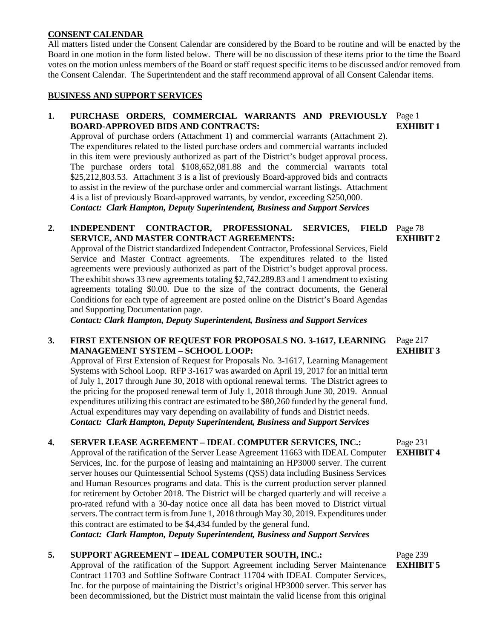### **CONSENT CALENDAR**

All matters listed under the Consent Calendar are considered by the Board to be routine and will be enacted by the Board in one motion in the form listed below. There will be no discussion of these items prior to the time the Board votes on the motion unless members of the Board or staff request specific items to be discussed and/or removed from the Consent Calendar. The Superintendent and the staff recommend approval of all Consent Calendar items.

### **BUSINESS AND SUPPORT SERVICES**

# 1. PURCHASE ORDERS, COMMERCIAL WARRANTS AND PREVIOUSLY Page 1 **BOARD-APPROVED BIDS AND CONTRACTS:**

Approval of purchase orders (Attachment 1) and commercial warrants (Attachment 2). The expenditures related to the listed purchase orders and commercial warrants included in this item were previously authorized as part of the District's budget approval process. The purchase orders total \$108,652,081.88 and the commercial warrants total \$25,212,803.53. Attachment 3 is a list of previously Board-approved bids and contracts to assist in the review of the purchase order and commercial warrant listings. Attachment 4 is a list of previously Board-approved warrants, by vendor, exceeding \$250,000. *Contact: Clark Hampton, Deputy Superintendent, Business and Support Services*

#### 2. **INDEPENDENT CONTRACTOR, PROFESSIONAL SERVICES, SERVICE, AND MASTER CONTRACT AGREEMENTS:** FIELD Page 78 **EXHIBIT 2**

Approval of the District standardized Independent Contractor, Professional Services, Field Service and Master Contract agreements. The expenditures related to the listed agreements were previously authorized as part of the District's budget approval process. The exhibit shows 33 new agreements totaling \$2,742,289.83 and 1 amendment to existing agreements totaling \$0.00. Due to the size of the contract documents, the General Conditions for each type of agreement are posted online on the District's Board Agendas and Supporting Documentation page.

*Contact: Clark Hampton, Deputy Superintendent, Business and Support Services*

# **3. FIRST EXTENSION OF REQUEST FOR PROPOSALS NO. 3-1617, LEARNING MANAGEMENT SYSTEM – SCHOOL LOOP:**

Approval of First Extension of Request for Proposals No. 3-1617, Learning Management Systems with School Loop. RFP 3-1617 was awarded on April 19, 2017 for an initial term of July 1, 2017 through June 30, 2018 with optional renewal terms. The District agrees to the pricing for the proposed renewal term of July 1, 2018 through June 30, 2019. Annual expenditures utilizing this contract are estimated to be \$80,260 funded by the general fund. Actual expenditures may vary depending on availability of funds and District needs. *Contact: Clark Hampton, Deputy Superintendent, Business and Support Services* 

# **4. SERVER LEASE AGREEMENT – IDEAL COMPUTER SERVICES, INC.:**

Approval of the ratification of the Server Lease Agreement 11663 with IDEAL Computer Services, Inc. for the purpose of leasing and maintaining an HP3000 server. The current server houses our Quintessential School Systems (QSS) data including Business Services and Human Resources programs and data. This is the current production server planned for retirement by October 2018. The District will be charged quarterly and will receive a pro-rated refund with a 30-day notice once all data has been moved to District virtual servers. The contract term is from June 1, 2018 through May 30, 2019. Expenditures under this contract are estimated to be \$4,434 funded by the general fund. *Contact: Clark Hampton, Deputy Superintendent, Business and Support Services*

# **5. SUPPORT AGREEMENT – IDEAL COMPUTER SOUTH, INC.:**

Approval of the ratification of the Support Agreement including Server Maintenance Contract 11703 and Softline Software Contract 11704 with IDEAL Computer Services, Inc. for the purpose of maintaining the District's original HP3000 server. This server has been decommissioned, but the District must maintain the valid license from this original

Page 217

**EXHIBIT 3**

Page 231 **EXHIBIT 4**

Page 239 **EXHIBIT 5**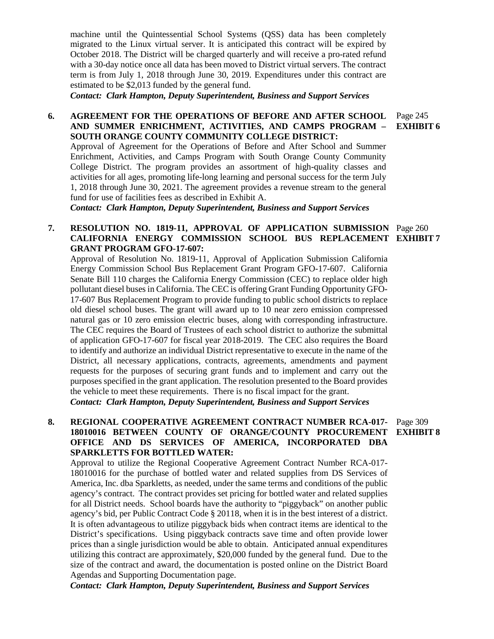machine until the Quintessential School Systems (QSS) data has been completely migrated to the Linux virtual server. It is anticipated this contract will be expired by October 2018. The District will be charged quarterly and will receive a pro-rated refund with a 30-day notice once all data has been moved to District virtual servers. The contract term is from July 1, 2018 through June 30, 2019. Expenditures under this contract are estimated to be \$2,013 funded by the general fund.

*Contact: Clark Hampton, Deputy Superintendent, Business and Support Services*

### **6. AGREEMENT FOR THE OPERATIONS OF BEFORE AND AFTER SCHOOL AND SUMMER ENRICHMENT, ACTIVITIES, AND CAMPS PROGRAM – SOUTH ORANGE COUNTY COMMUNITY COLLEGE DISTRICT:** Page 245

Approval of Agreement for the Operations of Before and After School and Summer Enrichment, Activities, and Camps Program with South Orange County Community College District. The program provides an assortment of high-quality classes and activities for all ages, promoting life-long learning and personal success for the term July 1, 2018 through June 30, 2021. The agreement provides a revenue stream to the general fund for use of facilities fees as described in Exhibit A.

*Contact: Clark Hampton, Deputy Superintendent, Business and Support Services*

## **7. RESOLUTION NO. 1819-11, APPROVAL OF APPLICATION SUBMISSION**  Page 260 **CALIFORNIA ENERGY COMMISSION SCHOOL BUS REPLACEMENT EXHIBIT 7 GRANT PROGRAM GFO-17-607:**

Approval of Resolution No. 1819-11, Approval of Application Submission California Energy Commission School Bus Replacement Grant Program GFO-17-607. California Senate Bill 110 charges the California Energy Commission (CEC) to replace older high pollutant diesel buses in California. The CEC is offering Grant Funding Opportunity GFO-17-607 Bus Replacement Program to provide funding to public school districts to replace old diesel school buses. The grant will award up to 10 near zero emission compressed natural gas or 10 zero emission electric buses, along with corresponding infrastructure. The CEC requires the Board of Trustees of each school district to authorize the submittal of application GFO-17-607 for fiscal year 2018-2019. The CEC also requires the Board to identify and authorize an individual District representative to execute in the name of the District, all necessary applications, contracts, agreements, amendments and payment requests for the purposes of securing grant funds and to implement and carry out the purposes specified in the grant application. The resolution presented to the Board provides the vehicle to meet these requirements. There is no fiscal impact for the grant. *Contact: Clark Hampton, Deputy Superintendent, Business and Support Services*

#### **8. REGIONAL COOPERATIVE AGREEMENT CONTRACT NUMBER RCA-017- 18010016 BETWEEN COUNTY OF ORANGE/COUNTY PROCUREMENT OFFICE AND DS SERVICES OF AMERICA, INCORPORATED DBA SPARKLETTS FOR BOTTLED WATER:** Page 309 **EXHIBIT 8**

Approval to utilize the Regional Cooperative Agreement Contract Number RCA-017- 18010016 for the purchase of bottled water and related supplies from DS Services of America, Inc. dba Sparkletts, as needed, under the same terms and conditions of the public agency's contract. The contract provides set pricing for bottled water and related supplies for all District needs. School boards have the authority to "piggyback" on another public agency's bid, per Public Contract Code § 20118, when it is in the best interest of a district. It is often advantageous to utilize piggyback bids when contract items are identical to the District's specifications. Using piggyback contracts save time and often provide lower prices than a single jurisdiction would be able to obtain. Anticipated annual expenditures utilizing this contract are approximately, \$20,000 funded by the general fund. Due to the size of the contract and award, the documentation is posted online on the District Board Agendas and Supporting Documentation page.

*Contact: Clark Hampton, Deputy Superintendent, Business and Support Services*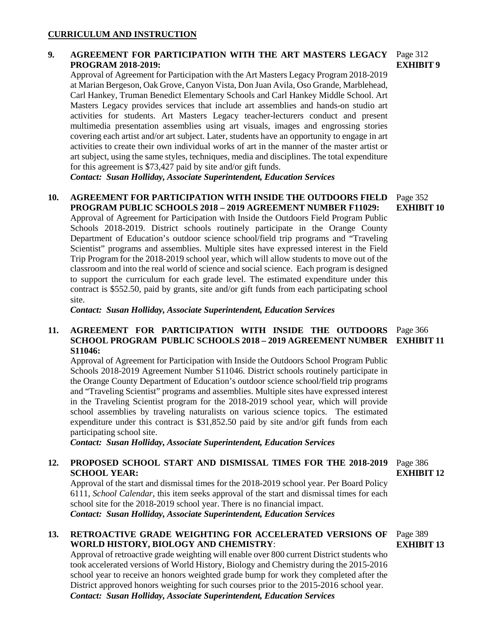### **CURRICULUM AND INSTRUCTION**

# **9. AGREEMENT FOR PARTICIPATION WITH THE ART MASTERS LEGACY**  Page 312 **PROGRAM 2018-2019:**

Approval of Agreement for Participation with the Art Masters Legacy Program 2018-2019 at Marian Bergeson, Oak Grove, Canyon Vista, Don Juan Avila, Oso Grande, Marblehead, Carl Hankey, Truman Benedict Elementary Schools and Carl Hankey Middle School. Art Masters Legacy provides services that include art assemblies and hands-on studio art activities for students. Art Masters Legacy teacher-lecturers conduct and present multimedia presentation assemblies using art visuals, images and engrossing stories covering each artist and/or art subject. Later, students have an opportunity to engage in art activities to create their own individual works of art in the manner of the master artist or art subject, using the same styles, techniques, media and disciplines. The total expenditure for this agreement is \$73,427 paid by site and/or gift funds.

*Contact: Susan Holliday, Associate Superintendent, Education Services*

#### **10. AGREEMENT FOR PARTICIPATION WITH INSIDE THE OUTDOORS FIELD PROGRAM PUBLIC SCHOOLS 2018 – 2019 AGREEMENT NUMBER F11029:**  Page 352 **EXHIBIT 10**

Approval of Agreement for Participation with Inside the Outdoors Field Program Public Schools 2018-2019. District schools routinely participate in the Orange County Department of Education's outdoor science school/field trip programs and "Traveling Scientist" programs and assemblies. Multiple sites have expressed interest in the Field Trip Program for the 2018-2019 school year, which will allow students to move out of the classroom and into the real world of science and social science. Each program is designed to support the curriculum for each grade level. The estimated expenditure under this contract is \$552.50, paid by grants, site and/or gift funds from each participating school site.

*Contact: Susan Holliday, Associate Superintendent, Education Services*

#### **11. AGREEMENT FOR PARTICIPATION WITH INSIDE THE OUTDOORS SCHOOL PROGRAM PUBLIC SCHOOLS 2018 – 2019 AGREEMENT NUMBER S11046:** Page 366 **EXHIBIT 11**

Approval of Agreement for Participation with Inside the Outdoors School Program Public Schools 2018-2019 Agreement Number S11046. District schools routinely participate in the Orange County Department of Education's outdoor science school/field trip programs and "Traveling Scientist" programs and assemblies. Multiple sites have expressed interest in the Traveling Scientist program for the 2018-2019 school year, which will provide school assemblies by traveling naturalists on various science topics. The estimated expenditure under this contract is \$31,852.50 paid by site and/or gift funds from each participating school site.

*Contact: Susan Holliday, Associate Superintendent, Education Services*

#### **12. PROPOSED SCHOOL START AND DISMISSAL TIMES FOR THE 2018-2019 SCHOOL YEAR:** Page 386 **EXHIBIT 12**

Approval of the start and dismissal times for the 2018-2019 school year. Per Board Policy 6111, *School Calendar*, this item seeks approval of the start and dismissal times for each school site for the 2018-2019 school year. There is no financial impact. *Contact: Susan Holliday, Associate Superintendent, Education Services*

# **13. RETROACTIVE GRADE WEIGHTING FOR ACCELERATED VERSIONS OF WORLD HISTORY, BIOLOGY AND CHEMISTRY**:

Approval of retroactive grade weighting will enable over 800 current District students who took accelerated versions of World History, Biology and Chemistry during the 2015-2016 school year to receive an honors weighted grade bump for work they completed after the District approved honors weighting for such courses prior to the 2015-2016 school year. *Contact: Susan Holliday, Associate Superintendent, Education Services*

**EXHIBIT 9**

Page 389 **EXHIBIT 13**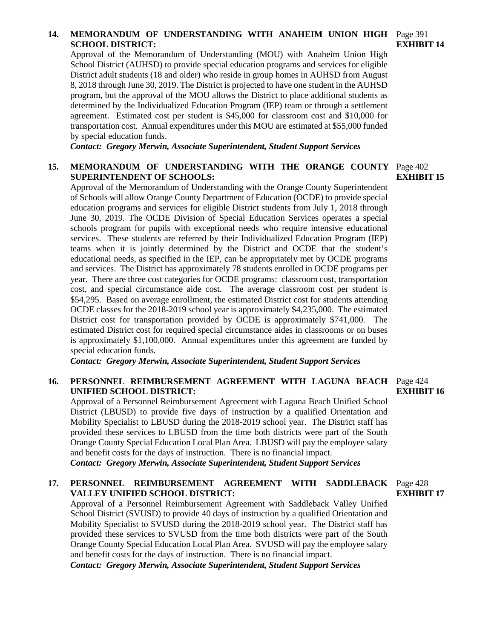# **14. MEMORANDUM OF UNDERSTANDING WITH ANAHEIM UNION HIGH**  Page 391 **SCHOOL DISTRICT:**

Approval of the Memorandum of Understanding (MOU) with Anaheim Union High School District (AUHSD) to provide special education programs and services for eligible District adult students (18 and older) who reside in group homes in AUHSD from August 8, 2018 through June 30, 2019. The District is projected to have one student in the AUHSD program, but the approval of the MOU allows the District to place additional students as determined by the Individualized Education Program (IEP) team or through a settlement agreement. Estimated cost per student is \$45,000 for classroom cost and \$10,000 for transportation cost. Annual expenditures under this MOU are estimated at \$55,000 funded by special education funds.

*Contact: Gregory Merwin, Associate Superintendent, Student Support Services*

# 15. MEMORANDUM OF UNDERSTANDING WITH THE ORANGE COUNTY Page 402 **SUPERINTENDENT OF SCHOOLS:**

Approval of the Memorandum of Understanding with the Orange County Superintendent of Schools will allow Orange County Department of Education (OCDE) to provide special education programs and services for eligible District students from July 1, 2018 through June 30, 2019. The OCDE Division of Special Education Services operates a special schools program for pupils with exceptional needs who require intensive educational services. These students are referred by their Individualized Education Program (IEP) teams when it is jointly determined by the District and OCDE that the student's educational needs, as specified in the IEP, can be appropriately met by OCDE programs and services. The District has approximately 78 students enrolled in OCDE programs per year. There are three cost categories for OCDE programs: classroom cost, transportation cost, and special circumstance aide cost. The average classroom cost per student is \$54,295. Based on average enrollment, the estimated District cost for students attending OCDE classes for the 2018-2019 school year is approximately \$4,235,000. The estimated District cost for transportation provided by OCDE is approximately \$741,000. The estimated District cost for required special circumstance aides in classrooms or on buses is approximately \$1,100,000. Annual expenditures under this agreement are funded by special education funds.

*Contact: Gregory Merwin, Associate Superintendent, Student Support Services*

### **16. PERSONNEL REIMBURSEMENT AGREEMENT WITH LAGUNA BEACH**  Page 424 **UNIFIED SCHOOL DISTRICT:**

Approval of a Personnel Reimbursement Agreement with Laguna Beach Unified School District (LBUSD) to provide five days of instruction by a qualified Orientation and Mobility Specialist to LBUSD during the 2018-2019 school year. The District staff has provided these services to LBUSD from the time both districts were part of the South Orange County Special Education Local Plan Area. LBUSD will pay the employee salary and benefit costs for the days of instruction. There is no financial impact.

*Contact: Gregory Merwin, Associate Superintendent, Student Support Services*

### **17. PERSONNEL REIMBURSEMENT AGREEMENT WITH SADDLEBACK**  Page 428 **VALLEY UNIFIED SCHOOL DISTRICT:**

Approval of a Personnel Reimbursement Agreement with Saddleback Valley Unified School District (SVUSD) to provide 40 days of instruction by a qualified Orientation and Mobility Specialist to SVUSD during the 2018-2019 school year. The District staff has provided these services to SVUSD from the time both districts were part of the South Orange County Special Education Local Plan Area. SVUSD will pay the employee salary and benefit costs for the days of instruction. There is no financial impact.

*Contact: Gregory Merwin, Associate Superintendent, Student Support Services*

# **EXHIBIT 16**

**EXHIBIT 17**

**EXHIBIT 15**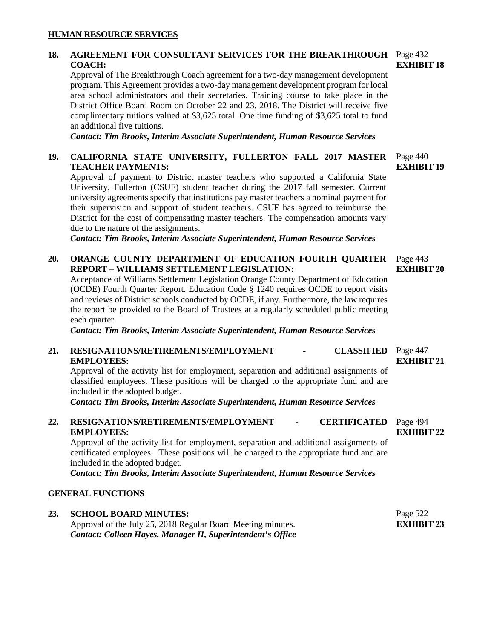### **HUMAN RESOURCE SERVICES**

# **18. AGREEMENT FOR CONSULTANT SERVICES FOR THE BREAKTHROUGH**  Page 432 **COACH:**

Approval of The Breakthrough Coach agreement for a two-day management development program. This Agreement provides a two-day management development program for local area school administrators and their secretaries. Training course to take place in the District Office Board Room on October 22 and 23, 2018. The District will receive five complimentary tuitions valued at \$3,625 total. One time funding of \$3,625 total to fund an additional five tuitions.

*Contact: Tim Brooks, Interim Associate Superintendent, Human Resource Services*

#### **19. CALIFORNIA STATE UNIVERSITY, FULLERTON FALL 2017 MASTER TEACHER PAYMENTS:** Page 440 **EXHIBIT 19**

Approval of payment to District master teachers who supported a California State University, Fullerton (CSUF) student teacher during the 2017 fall semester. Current university agreements specify that institutions pay master teachers a nominal payment for their supervision and support of student teachers. CSUF has agreed to reimburse the District for the cost of compensating master teachers. The compensation amounts vary due to the nature of the assignments.

*Contact: Tim Brooks, Interim Associate Superintendent, Human Resource Services*

# **20. ORANGE COUNTY DEPARTMENT OF EDUCATION FOURTH QUARTER REPORT – WILLIAMS SETTLEMENT LEGISLATION:**

Acceptance of Williams Settlement Legislation Orange County Department of Education (OCDE) Fourth Quarter Report. Education Code § 1240 requires OCDE to report visits and reviews of District schools conducted by OCDE, if any. Furthermore, the law requires the report be provided to the Board of Trustees at a regularly scheduled public meeting each quarter.

*Contact: Tim Brooks, Interim Associate Superintendent, Human Resource Services*

#### **21. RESIGNATIONS/RETIREMENTS/EMPLOYMENT - CLASSIFIED EMPLOYEES: CLASSIFIED** Page 447 **EXHIBIT 21**

Approval of the activity list for employment, separation and additional assignments of classified employees. These positions will be charged to the appropriate fund and are included in the adopted budget.

*Contact: Tim Brooks, Interim Associate Superintendent, Human Resource Services*

#### **22. RESIGNATIONS/RETIREMENTS/EMPLOYMENT - CERTIFICATED EMPLOYEES: CERTIFICATED** Page 494 **EXHIBIT 22**

Approval of the activity list for employment, separation and additional assignments of certificated employees. These positions will be charged to the appropriate fund and are included in the adopted budget.

*Contact: Tim Brooks, Interim Associate Superintendent, Human Resource Services*

### **GENERAL FUNCTIONS**

#### **23. SCHOOL BOARD MINUTES:** Approval of the July 25, 2018 Regular Board Meeting minutes. *Contact: Colleen Hayes, Manager II, Superintendent's Office* Page 522 **EXHIBIT 23**

**EXHIBIT 18**

Page 443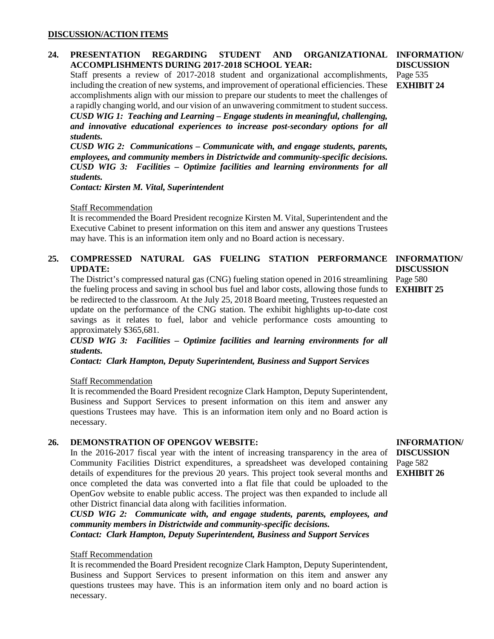### **DISCUSSION/ACTION ITEMS**

#### 24. PRESENTATION REGARDING STUDENT AND **ACCOMPLISHMENTS DURING 2017-2018 SCHOOL YEAR: ORGANIZATIONAL INFORMATION/**

Staff presents a review of 2017-2018 student and organizational accomplishments, including the creation of new systems, and improvement of operational efficiencies. These accomplishments align with our mission to prepare our students to meet the challenges of a rapidly changing world, and our vision of an unwavering commitment to student success. *CUSD WIG 1: Teaching and Learning – Engage students in meaningful, challenging, and innovative educational experiences to increase post-secondary options for all students.*

*CUSD WIG 2: Communications – Communicate with, and engage students, parents, employees, and community members in Districtwide and community-specific decisions. CUSD WIG 3: Facilities – Optimize facilities and learning environments for all students.*

*Contact: Kirsten M. Vital, Superintendent*

### Staff Recommendation

It is recommended the Board President recognize Kirsten M. Vital, Superintendent and the Executive Cabinet to present information on this item and answer any questions Trustees may have. This is an information item only and no Board action is necessary.

# **25. COMPRESSED NATURAL GAS FUELING STATION PERFORMANCE INFORMATION/ UPDATE:**

The District's compressed natural gas (CNG) fueling station opened in 2016 streamlining the fueling process and saving in school bus fuel and labor costs, allowing those funds to **EXHIBIT 25** be redirected to the classroom. At the July 25, 2018 Board meeting, Trustees requested an update on the performance of the CNG station. The exhibit highlights up-to-date cost savings as it relates to fuel, labor and vehicle performance costs amounting to approximately \$365,681.

*CUSD WIG 3: Facilities – Optimize facilities and learning environments for all students.*

*Contact: Clark Hampton, Deputy Superintendent, Business and Support Services*

Staff Recommendation

It is recommended the Board President recognize Clark Hampton, Deputy Superintendent, Business and Support Services to present information on this item and answer any questions Trustees may have. This is an information item only and no Board action is necessary.

### **26. DEMONSTRATION OF OPENGOV WEBSITE:**

In the 2016-2017 fiscal year with the intent of increasing transparency in the area of Community Facilities District expenditures, a spreadsheet was developed containing details of expenditures for the previous 20 years. This project took several months and once completed the data was converted into a flat file that could be uploaded to the OpenGov website to enable public access. The project was then expanded to include all other District financial data along with facilities information.

*CUSD WIG 2: Communicate with, and engage students, parents, employees, and community members in Districtwide and community-specific decisions. Contact: Clark Hampton, Deputy Superintendent, Business and Support Services*

### Staff Recommendation

It is recommended the Board President recognize Clark Hampton, Deputy Superintendent, Business and Support Services to present information on this item and answer any questions trustees may have. This is an information item only and no board action is necessary.

**DISCUSSION** Page 535 **EXHIBIT 24**

**DISCUSSION** Page 580

### **INFORMATION/ DISCUSSION** Page 582 **EXHIBIT 26**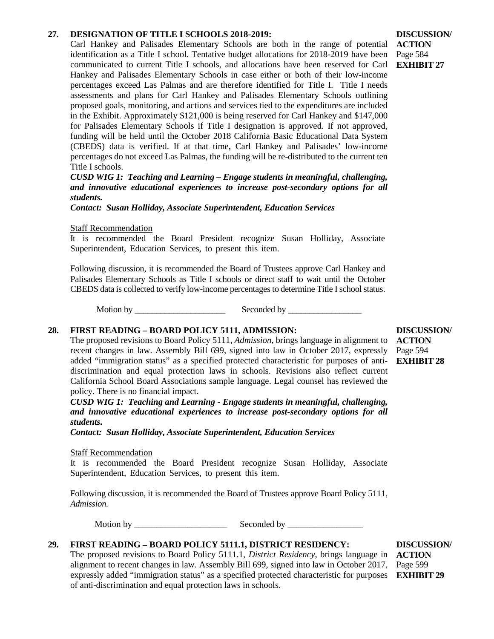### **27. DESIGNATION OF TITLE I SCHOOLS 2018-2019:**

Carl Hankey and Palisades Elementary Schools are both in the range of potential identification as a Title I school. Tentative budget allocations for 2018-2019 have been communicated to current Title I schools, and allocations have been reserved for Carl Hankey and Palisades Elementary Schools in case either or both of their low-income percentages exceed Las Palmas and are therefore identified for Title I. Title I needs assessments and plans for Carl Hankey and Palisades Elementary Schools outlining proposed goals, monitoring, and actions and services tied to the expenditures are included in the Exhibit. Approximately \$121,000 is being reserved for Carl Hankey and \$147,000 for Palisades Elementary Schools if Title I designation is approved. If not approved, funding will be held until the October 2018 California Basic Educational Data System (CBEDS) data is verified. If at that time, Carl Hankey and Palisades' low-income percentages do not exceed Las Palmas, the funding will be re-distributed to the current ten Title I schools.

*CUSD WIG 1: Teaching and Learning – Engage students in meaningful, challenging, and innovative educational experiences to increase post-secondary options for all students.*

*Contact: Susan Holliday, Associate Superintendent, Education Services*

Staff Recommendation

It is recommended the Board President recognize Susan Holliday, Associate Superintendent, Education Services, to present this item.

Following discussion, it is recommended the Board of Trustees approve Carl Hankey and Palisades Elementary Schools as Title I schools or direct staff to wait until the October CBEDS data is collected to verify low-income percentages to determine Title I school status.

Motion by \_\_\_\_\_\_\_\_\_\_\_\_\_\_\_\_\_\_\_\_\_ Seconded by \_\_\_\_\_\_\_\_\_\_\_\_\_\_\_\_\_

### **28. FIRST READING – BOARD POLICY 5111, ADMISSION:**

The proposed revisions to Board Policy 5111, *Admission*, brings language in alignment to recent changes in law. Assembly Bill 699, signed into law in October 2017, expressly added "immigration status" as a specified protected characteristic for purposes of antidiscrimination and equal protection laws in schools. Revisions also reflect current California School Board Associations sample language. Legal counsel has reviewed the policy. There is no financial impact.

*CUSD WIG 1: Teaching and Learning - Engage students in meaningful, challenging, and innovative educational experiences to increase post-secondary options for all students.*

*Contact: Susan Holliday, Associate Superintendent, Education Services*

### Staff Recommendation

It is recommended the Board President recognize Susan Holliday, Associate Superintendent, Education Services, to present this item.

Following discussion, it is recommended the Board of Trustees approve Board Policy 5111, *Admission.*

Motion by \_\_\_\_\_\_\_\_\_\_\_\_\_\_\_\_\_\_\_\_\_ Seconded by \_\_\_\_\_\_\_\_\_\_\_\_\_\_\_\_\_

# **29. FIRST READING – BOARD POLICY 5111.1, DISTRICT RESIDENCY:**

The proposed revisions to Board Policy 5111.1, *District Residency*, brings language in alignment to recent changes in law. Assembly Bill 699, signed into law in October 2017, expressly added "immigration status" as a specified protected characteristic for purposes **EXHIBIT 29**of anti-discrimination and equal protection laws in schools.

**DISCUSSION/ ACTION** Page 594 **EXHIBIT 28**

**DISCUSSION/ ACTION** Page 584 **EXHIBIT 27**

**DISCUSSION/ ACTION** Page 599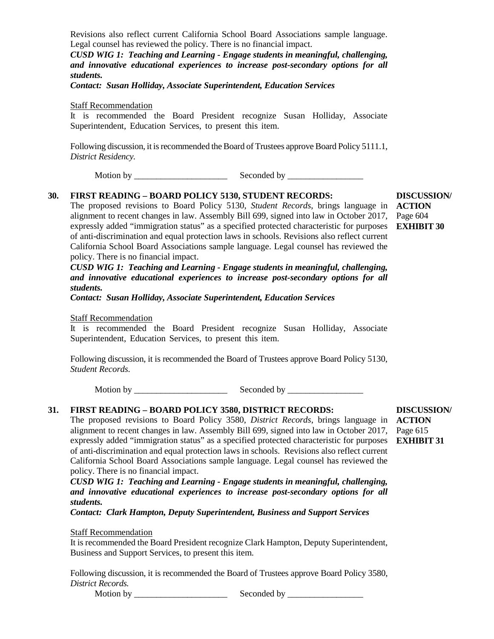Revisions also reflect current California School Board Associations sample language. Legal counsel has reviewed the policy. There is no financial impact.

*CUSD WIG 1: Teaching and Learning - Engage students in meaningful, challenging, and innovative educational experiences to increase post-secondary options for all students.*

*Contact: Susan Holliday, Associate Superintendent, Education Services*

Staff Recommendation

It is recommended the Board President recognize Susan Holliday, Associate Superintendent, Education Services, to present this item.

Following discussion, it is recommended the Board of Trustees approve Board Policy 5111.1, *District Residency.*

Motion by \_\_\_\_\_\_\_\_\_\_\_\_\_\_\_\_\_\_\_\_\_ Seconded by \_\_\_\_\_\_\_\_\_\_\_\_\_\_\_\_\_

## **30. FIRST READING – BOARD POLICY 5130, STUDENT RECORDS:**

The proposed revisions to Board Policy 5130, *Student Records*, brings language in **ACTION** alignment to recent changes in law. Assembly Bill 699, signed into law in October 2017, expressly added "immigration status" as a specified protected characteristic for purposes of anti-discrimination and equal protection laws in schools. Revisions also reflect current California School Board Associations sample language. Legal counsel has reviewed the policy. There is no financial impact.

*CUSD WIG 1: Teaching and Learning - Engage students in meaningful, challenging, and innovative educational experiences to increase post-secondary options for all students.*

*Contact: Susan Holliday, Associate Superintendent, Education Services*

Staff Recommendation

It is recommended the Board President recognize Susan Holliday, Associate Superintendent, Education Services, to present this item.

Following discussion, it is recommended the Board of Trustees approve Board Policy 5130, *Student Records.*

Motion by \_\_\_\_\_\_\_\_\_\_\_\_\_\_\_\_\_\_\_\_\_ Seconded by \_\_\_\_\_\_\_\_\_\_\_\_\_\_\_\_\_

# **31. FIRST READING – BOARD POLICY 3580, DISTRICT RECORDS:**

The proposed revisions to Board Policy 3580, *District Records*, brings language in **ACTION** alignment to recent changes in law. Assembly Bill 699, signed into law in October 2017, expressly added "immigration status" as a specified protected characteristic for purposes **EXHIBIT 31**of anti-discrimination and equal protection laws in schools. Revisions also reflect current California School Board Associations sample language. Legal counsel has reviewed the policy. There is no financial impact.

*CUSD WIG 1: Teaching and Learning - Engage students in meaningful, challenging, and innovative educational experiences to increase post-secondary options for all students.*

*Contact: Clark Hampton, Deputy Superintendent, Business and Support Services* 

Staff Recommendation

It is recommended the Board President recognize Clark Hampton, Deputy Superintendent, Business and Support Services, to present this item.

Following discussion, it is recommended the Board of Trustees approve Board Policy 3580, *District Records.*

Motion by \_\_\_\_\_\_\_\_\_\_\_\_\_\_\_\_\_\_\_\_\_ Seconded by \_\_\_\_\_\_\_\_\_\_\_\_\_\_\_\_\_

**DISCUSSION/** Page 615

**DISCUSSION/** Page 604 **EXHIBIT 30**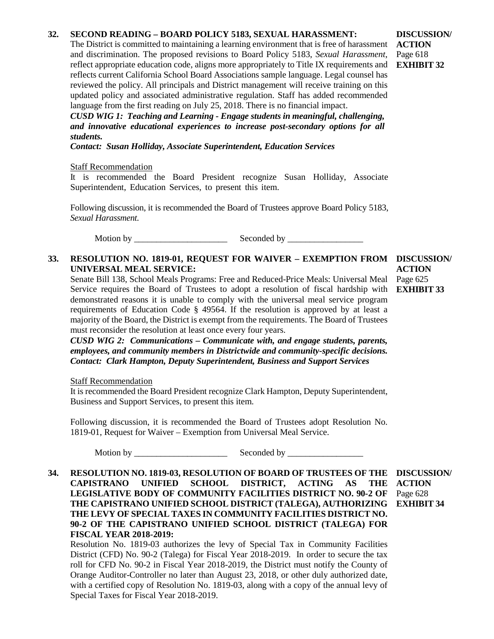# **32. SECOND READING – BOARD POLICY 5183, SEXUAL HARASSMENT:**

The District is committed to maintaining a learning environment that is free of harassment and discrimination. The proposed revisions to Board Policy 5183, *Sexual Harassment*, reflect appropriate education code, aligns more appropriately to Title IX requirements and reflects current California School Board Associations sample language. Legal counsel has reviewed the policy. All principals and District management will receive training on this updated policy and associated administrative regulation. Staff has added recommended language from the first reading on July 25, 2018. There is no financial impact.

*CUSD WIG 1: Teaching and Learning - Engage students in meaningful, challenging, and innovative educational experiences to increase post-secondary options for all students.*

*Contact: Susan Holliday, Associate Superintendent, Education Services*

### Staff Recommendation

It is recommended the Board President recognize Susan Holliday, Associate Superintendent, Education Services, to present this item.

Following discussion, it is recommended the Board of Trustees approve Board Policy 5183, *Sexual Harassment.*

Motion by \_\_\_\_\_\_\_\_\_\_\_\_\_\_\_\_\_\_\_\_\_ Seconded by \_\_\_\_\_\_\_\_\_\_\_\_\_\_\_\_\_

# **33. RESOLUTION NO. 1819-01, REQUEST FOR WAIVER – EXEMPTION FROM DISCUSSION/ UNIVERSAL MEAL SERVICE:**

Senate Bill 138, School Meals Programs: Free and Reduced-Price Meals: Universal Meal Service requires the Board of Trustees to adopt a resolution of fiscal hardship with **EXHIBIT 33** demonstrated reasons it is unable to comply with the universal meal service program requirements of Education Code § 49564. If the resolution is approved by at least a majority of the Board, the District is exempt from the requirements. The Board of Trustees must reconsider the resolution at least once every four years.

*CUSD WIG 2: Communications – Communicate with, and engage students, parents, employees, and community members in Districtwide and community-specific decisions. Contact: Clark Hampton, Deputy Superintendent, Business and Support Services* 

Staff Recommendation

It is recommended the Board President recognize Clark Hampton, Deputy Superintendent, Business and Support Services, to present this item.

Following discussion, it is recommended the Board of Trustees adopt Resolution No. 1819-01, Request for Waiver – Exemption from Universal Meal Service.

Motion by \_\_\_\_\_\_\_\_\_\_\_\_\_\_\_\_\_\_\_\_\_ Seconded by \_\_\_\_\_\_\_\_\_\_\_\_\_\_\_\_\_

**34. RESOLUTION NO. 1819-03, RESOLUTION OF BOARD OF TRUSTEES OF THE DISCUSSION/ CAPISTRANO UNIFIED SCHOOL DISTRICT, ACTING AS THE LEGISLATIVE BODY OF COMMUNITY FACILITIES DISTRICT NO. 90-2 OF THE CAPISTRANO UNIFIED SCHOOL DISTRICT (TALEGA), AUTHORIZING THE LEVY OF SPECIAL TAXES IN COMMUNITY FACILITIES DISTRICT NO. 90-2 OF THE CAPISTRANO UNIFIED SCHOOL DISTRICT (TALEGA) FOR FISCAL YEAR 2018-2019:**

Resolution No. 1819-03 authorizes the levy of Special Tax in Community Facilities District (CFD) No. 90-2 (Talega) for Fiscal Year 2018-2019. In order to secure the tax roll for CFD No. 90-2 in Fiscal Year 2018-2019, the District must notify the County of Orange Auditor-Controller no later than August 23, 2018, or other duly authorized date, with a certified copy of Resolution No. 1819-03, along with a copy of the annual levy of Special Taxes for Fiscal Year 2018-2019.

**DISCUSSION/ ACTION** Page 618 **EXHIBIT 32**

**ACTION** Page 628 **EXHIBIT 34**

# **ACTION** Page 625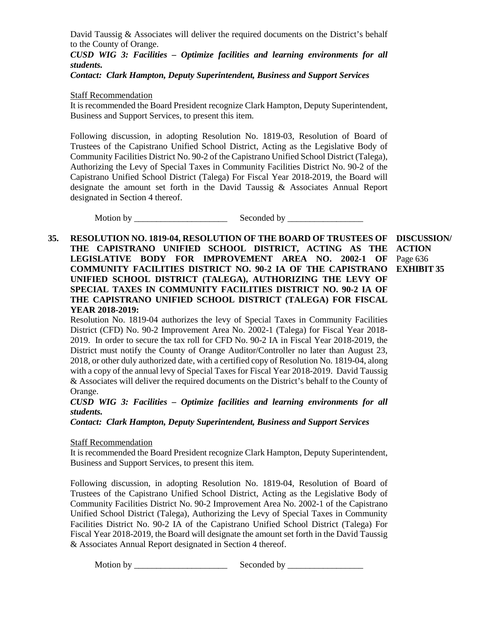David Taussig & Associates will deliver the required documents on the District's behalf to the County of Orange.

*CUSD WIG 3: Facilities – Optimize facilities and learning environments for all students.*

*Contact: Clark Hampton, Deputy Superintendent, Business and Support Services*

Staff Recommendation

It is recommended the Board President recognize Clark Hampton, Deputy Superintendent, Business and Support Services, to present this item.

Following discussion, in adopting Resolution No. 1819-03, Resolution of Board of Trustees of the Capistrano Unified School District, Acting as the Legislative Body of Community Facilities District No. 90-2 of the Capistrano Unified School District (Talega), Authorizing the Levy of Special Taxes in Community Facilities District No. 90-2 of the Capistrano Unified School District (Talega) For Fiscal Year 2018-2019, the Board will designate the amount set forth in the David Taussig & Associates Annual Report designated in Section 4 thereof.

Motion by \_\_\_\_\_\_\_\_\_\_\_\_\_\_\_\_\_\_\_\_\_ Seconded by \_\_\_\_\_\_\_\_\_\_\_\_\_\_\_\_\_

**35. RESOLUTION NO. 1819-04, RESOLUTION OF THE BOARD OF TRUSTEES OF THE CAPISTRANO UNIFIED SCHOOL DISTRICT, ACTING AS THE LEGISLATIVE BODY FOR IMPROVEMENT AREA NO. 2002-1 OF COMMUNITY FACILITIES DISTRICT NO. 90-2 IA OF THE CAPISTRANO EXHIBIT 35UNIFIED SCHOOL DISTRICT (TALEGA), AUTHORIZING THE LEVY OF SPECIAL TAXES IN COMMUNITY FACILITIES DISTRICT NO. 90-2 IA OF THE CAPISTRANO UNIFIED SCHOOL DISTRICT (TALEGA) FOR FISCAL YEAR 2018-2019: DISCUSSION/ ACTION** Page 636

Resolution No. 1819-04 authorizes the levy of Special Taxes in Community Facilities District (CFD) No. 90-2 Improvement Area No. 2002-1 (Talega) for Fiscal Year 2018- 2019. In order to secure the tax roll for CFD No. 90-2 IA in Fiscal Year 2018-2019, the District must notify the County of Orange Auditor/Controller no later than August 23, 2018, or other duly authorized date, with a certified copy of Resolution No. 1819-04, along with a copy of the annual levy of Special Taxes for Fiscal Year 2018-2019. David Taussig & Associates will deliver the required documents on the District's behalf to the County of Orange.

# *CUSD WIG 3: Facilities – Optimize facilities and learning environments for all students.*

*Contact: Clark Hampton, Deputy Superintendent, Business and Support Services*

Staff Recommendation

It is recommended the Board President recognize Clark Hampton, Deputy Superintendent, Business and Support Services, to present this item.

Following discussion, in adopting Resolution No. 1819-04, Resolution of Board of Trustees of the Capistrano Unified School District, Acting as the Legislative Body of Community Facilities District No. 90-2 Improvement Area No. 2002-1 of the Capistrano Unified School District (Talega), Authorizing the Levy of Special Taxes in Community Facilities District No. 90-2 IA of the Capistrano Unified School District (Talega) For Fiscal Year 2018-2019, the Board will designate the amount set forth in the David Taussig & Associates Annual Report designated in Section 4 thereof.

Motion by \_\_\_\_\_\_\_\_\_\_\_\_\_\_\_\_\_\_\_\_\_ Seconded by \_\_\_\_\_\_\_\_\_\_\_\_\_\_\_\_\_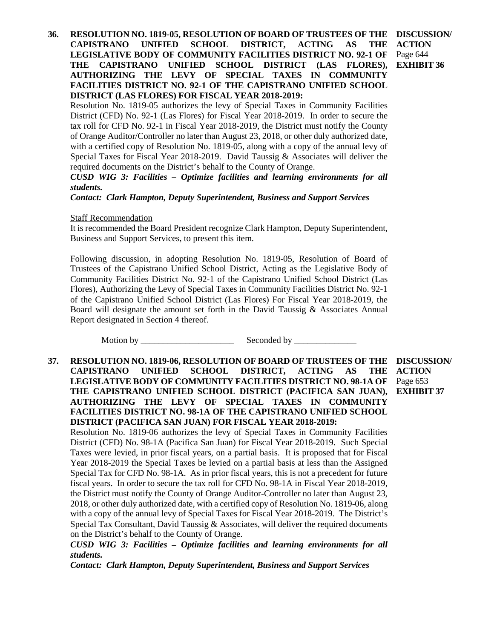**36. RESOLUTION NO. 1819-05, RESOLUTION OF BOARD OF TRUSTEES OF THE CAPISTRANO UNIFIED SCHOOL DISTRICT, ACTING AS THE LEGISLATIVE BODY OF COMMUNITY FACILITIES DISTRICT NO. 92-1 OF THE CAPISTRANO UNIFIED SCHOOL DISTRICT (LAS FLORES), AUTHORIZING THE LEVY OF SPECIAL TAXES IN COMMUNITY FACILITIES DISTRICT NO. 92-1 OF THE CAPISTRANO UNIFIED SCHOOL DISTRICT (LAS FLORES) FOR FISCAL YEAR 2018-2019: DISCUSSION/ ACTION** Page 644 **EXHIBIT 36**

Resolution No. 1819-05 authorizes the levy of Special Taxes in Community Facilities District (CFD) No. 92-1 (Las Flores) for Fiscal Year 2018-2019. In order to secure the tax roll for CFD No. 92-1 in Fiscal Year 2018-2019, the District must notify the County of Orange Auditor/Controller no later than August 23, 2018, or other duly authorized date, with a certified copy of Resolution No. 1819-05, along with a copy of the annual levy of Special Taxes for Fiscal Year 2018-2019. David Taussig & Associates will deliver the required documents on the District's behalf to the County of Orange.

*CUSD WIG 3: Facilities – Optimize facilities and learning environments for all students.*

*Contact: Clark Hampton, Deputy Superintendent, Business and Support Services*

Staff Recommendation

It is recommended the Board President recognize Clark Hampton, Deputy Superintendent, Business and Support Services, to present this item.

Following discussion, in adopting Resolution No. 1819-05, Resolution of Board of Trustees of the Capistrano Unified School District, Acting as the Legislative Body of Community Facilities District No. 92-1 of the Capistrano Unified School District (Las Flores), Authorizing the Levy of Special Taxes in Community Facilities District No. 92-1 of the Capistrano Unified School District (Las Flores) For Fiscal Year 2018-2019, the Board will designate the amount set forth in the David Taussig & Associates Annual Report designated in Section 4 thereof.

Motion by \_\_\_\_\_\_\_\_\_\_\_\_\_\_\_\_\_\_\_\_\_ Seconded by \_\_\_\_\_\_\_\_\_\_\_\_\_\_

**37. RESOLUTION NO. 1819-06, RESOLUTION OF BOARD OF TRUSTEES OF THE CAPISTRANO UNIFIED SCHOOL DISTRICT, ACTING AS THE LEGISLATIVE BODY OF COMMUNITY FACILITIES DISTRICT NO. 98-1A OF THE CAPISTRANO UNIFIED SCHOOL DISTRICT (PACIFICA SAN JUAN), AUTHORIZING THE LEVY OF SPECIAL TAXES IN COMMUNITY FACILITIES DISTRICT NO. 98-1A OF THE CAPISTRANO UNIFIED SCHOOL DISTRICT (PACIFICA SAN JUAN) FOR FISCAL YEAR 2018-2019: DISCUSSION/ ACTION** Page 653 **EXHIBIT 37**

Resolution No. 1819-06 authorizes the levy of Special Taxes in Community Facilities District (CFD) No. 98-1A (Pacifica San Juan) for Fiscal Year 2018-2019. Such Special Taxes were levied, in prior fiscal years, on a partial basis. It is proposed that for Fiscal Year 2018-2019 the Special Taxes be levied on a partial basis at less than the Assigned Special Tax for CFD No. 98-1A. As in prior fiscal years, this is not a precedent for future fiscal years. In order to secure the tax roll for CFD No. 98-1A in Fiscal Year 2018-2019, the District must notify the County of Orange Auditor-Controller no later than August 23, 2018, or other duly authorized date, with a certified copy of Resolution No. 1819-06, along with a copy of the annual levy of Special Taxes for Fiscal Year 2018-2019. The District's Special Tax Consultant, David Taussig & Associates, will deliver the required documents on the District's behalf to the County of Orange.

*CUSD WIG 3: Facilities – Optimize facilities and learning environments for all students.*

*Contact: Clark Hampton, Deputy Superintendent, Business and Support Services*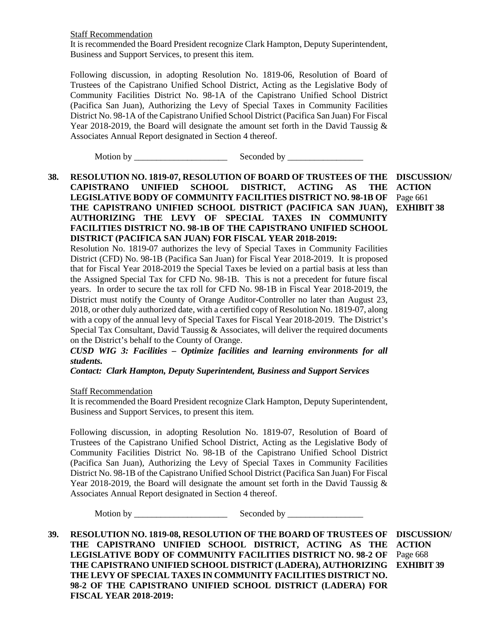Staff Recommendation

It is recommended the Board President recognize Clark Hampton, Deputy Superintendent, Business and Support Services, to present this item.

Following discussion, in adopting Resolution No. 1819-06, Resolution of Board of Trustees of the Capistrano Unified School District, Acting as the Legislative Body of Community Facilities District No. 98-1A of the Capistrano Unified School District (Pacifica San Juan), Authorizing the Levy of Special Taxes in Community Facilities District No. 98-1A of the Capistrano Unified School District (Pacifica San Juan) For Fiscal Year 2018-2019, the Board will designate the amount set forth in the David Taussig & Associates Annual Report designated in Section 4 thereof.

Motion by \_\_\_\_\_\_\_\_\_\_\_\_\_\_\_\_\_\_\_\_\_ Seconded by \_\_\_\_\_\_\_\_\_\_\_\_\_\_\_\_\_

### **38. RESOLUTION NO. 1819-07, RESOLUTION OF BOARD OF TRUSTEES OF THE DISCUSSION/ CAPISTRANO UNIFIED SCHOOL DISTRICT, ACTING LEGISLATIVE BODY OF COMMUNITY FACILITIES DISTRICT NO. 98-1B OF THE CAPISTRANO UNIFIED SCHOOL DISTRICT (PACIFICA SAN JUAN), AUTHORIZING THE LEVY OF SPECIAL TAXES IN COMMUNITY FACILITIES DISTRICT NO. 98-1B OF THE CAPISTRANO UNIFIED SCHOOL DISTRICT (PACIFICA SAN JUAN) FOR FISCAL YEAR 2018-2019: AS** THE ACTION

Page 661 **EXHIBIT 38**

Resolution No. 1819-07 authorizes the levy of Special Taxes in Community Facilities District (CFD) No. 98-1B (Pacifica San Juan) for Fiscal Year 2018-2019. It is proposed that for Fiscal Year 2018-2019 the Special Taxes be levied on a partial basis at less than the Assigned Special Tax for CFD No. 98-1B. This is not a precedent for future fiscal years. In order to secure the tax roll for CFD No. 98-1B in Fiscal Year 2018-2019, the District must notify the County of Orange Auditor-Controller no later than August 23, 2018, or other duly authorized date, with a certified copy of Resolution No. 1819-07, along with a copy of the annual levy of Special Taxes for Fiscal Year 2018-2019. The District's Special Tax Consultant, David Taussig & Associates, will deliver the required documents on the District's behalf to the County of Orange.

*CUSD WIG 3: Facilities – Optimize facilities and learning environments for all students.*

*Contact: Clark Hampton, Deputy Superintendent, Business and Support Services*

Staff Recommendation

It is recommended the Board President recognize Clark Hampton, Deputy Superintendent, Business and Support Services, to present this item.

Following discussion, in adopting Resolution No. 1819-07, Resolution of Board of Trustees of the Capistrano Unified School District, Acting as the Legislative Body of Community Facilities District No. 98-1B of the Capistrano Unified School District (Pacifica San Juan), Authorizing the Levy of Special Taxes in Community Facilities District No. 98-1B of the Capistrano Unified School District (Pacifica San Juan) For Fiscal Year 2018-2019, the Board will designate the amount set forth in the David Taussig  $\&$ Associates Annual Report designated in Section 4 thereof.

Motion by \_\_\_\_\_\_\_\_\_\_\_\_\_\_\_\_\_\_\_\_\_ Seconded by \_\_\_\_\_\_\_\_\_\_\_\_\_\_\_\_\_

**39. RESOLUTION NO. 1819-08, RESOLUTION OF THE BOARD OF TRUSTEES OF THE CAPISTRANO UNIFIED SCHOOL DISTRICT, ACTING AS THE LEGISLATIVE BODY OF COMMUNITY FACILITIES DISTRICT NO. 98-2 OF THE CAPISTRANO UNIFIED SCHOOL DISTRICT (LADERA), AUTHORIZING EXHIBIT 39THE LEVY OF SPECIAL TAXES IN COMMUNITY FACILITIES DISTRICT NO. 98-2 OF THE CAPISTRANO UNIFIED SCHOOL DISTRICT (LADERA) FOR FISCAL YEAR 2018-2019: DISCUSSION/ ACTION** Page 668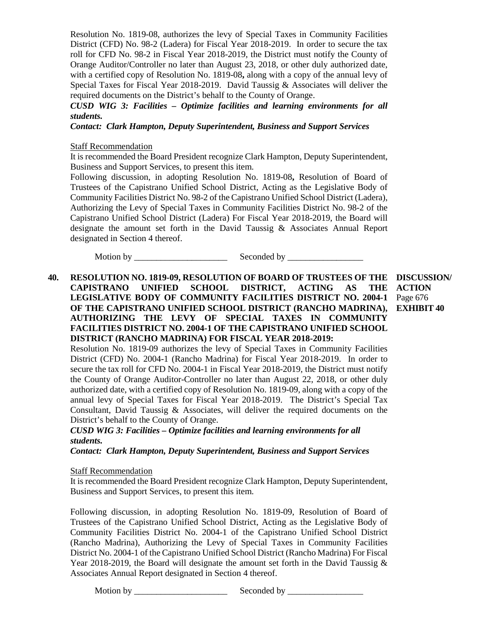Resolution No. 1819-08, authorizes the levy of Special Taxes in Community Facilities District (CFD) No. 98-2 (Ladera) for Fiscal Year 2018-2019. In order to secure the tax roll for CFD No. 98-2 in Fiscal Year 2018-2019, the District must notify the County of Orange Auditor/Controller no later than August 23, 2018, or other duly authorized date, with a certified copy of Resolution No. 1819-08**,** along with a copy of the annual levy of Special Taxes for Fiscal Year 2018-2019. David Taussig & Associates will deliver the required documents on the District's behalf to the County of Orange.

# *CUSD WIG 3: Facilities – Optimize facilities and learning environments for all students.*

*Contact: Clark Hampton, Deputy Superintendent, Business and Support Services*

# Staff Recommendation

It is recommended the Board President recognize Clark Hampton, Deputy Superintendent, Business and Support Services, to present this item.

Following discussion, in adopting Resolution No. 1819-08**,** Resolution of Board of Trustees of the Capistrano Unified School District, Acting as the Legislative Body of Community Facilities District No. 98-2 of the Capistrano Unified School District (Ladera), Authorizing the Levy of Special Taxes in Community Facilities District No. 98-2 of the Capistrano Unified School District (Ladera) For Fiscal Year 2018-2019, the Board will designate the amount set forth in the David Taussig & Associates Annual Report designated in Section 4 thereof.

Motion by \_\_\_\_\_\_\_\_\_\_\_\_\_\_\_\_\_\_\_\_\_ Seconded by \_\_\_\_\_\_\_\_\_\_\_\_\_\_\_\_\_

**40. RESOLUTION NO. 1819-09, RESOLUTION OF BOARD OF TRUSTEES OF THE DISCUSSION/ CAPISTRANO UNIFIED SCHOOL DISTRICT, ACTING AS THE LEGISLATIVE BODY OF COMMUNITY FACILITIES DISTRICT NO. 2004-1 OF THE CAPISTRANO UNIFIED SCHOOL DISTRICT (RANCHO MADRINA), AUTHORIZING THE LEVY OF SPECIAL TAXES IN COMMUNITY FACILITIES DISTRICT NO. 2004-1 OF THE CAPISTRANO UNIFIED SCHOOL DISTRICT (RANCHO MADRINA) FOR FISCAL YEAR 2018-2019:**

**ACTION** Page 676 **EXHIBIT 40**

Resolution No. 1819-09 authorizes the levy of Special Taxes in Community Facilities District (CFD) No. 2004-1 (Rancho Madrina) for Fiscal Year 2018-2019. In order to secure the tax roll for CFD No. 2004-1 in Fiscal Year 2018-2019, the District must notify the County of Orange Auditor-Controller no later than August 22, 2018, or other duly authorized date, with a certified copy of Resolution No. 1819-09, along with a copy of the annual levy of Special Taxes for Fiscal Year 2018-2019. The District's Special Tax Consultant, David Taussig & Associates, will deliver the required documents on the District's behalf to the County of Orange.

# *CUSD WIG 3: Facilities – Optimize facilities and learning environments for all students.*

*Contact: Clark Hampton, Deputy Superintendent, Business and Support Services*

### Staff Recommendation

It is recommended the Board President recognize Clark Hampton, Deputy Superintendent, Business and Support Services, to present this item.

Following discussion, in adopting Resolution No. 1819-09, Resolution of Board of Trustees of the Capistrano Unified School District, Acting as the Legislative Body of Community Facilities District No. 2004-1 of the Capistrano Unified School District (Rancho Madrina), Authorizing the Levy of Special Taxes in Community Facilities District No. 2004-1 of the Capistrano Unified School District (Rancho Madrina) For Fiscal Year 2018-2019, the Board will designate the amount set forth in the David Taussig & Associates Annual Report designated in Section 4 thereof.

Motion by \_\_\_\_\_\_\_\_\_\_\_\_\_\_\_\_\_\_\_\_\_ Seconded by \_\_\_\_\_\_\_\_\_\_\_\_\_\_\_\_\_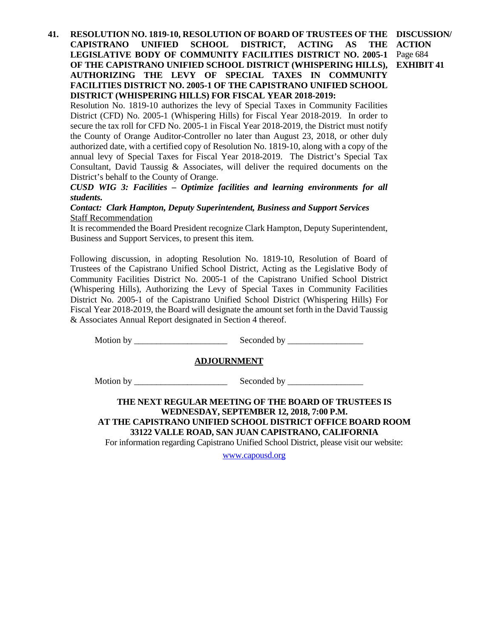**41. RESOLUTION NO. 1819-10, RESOLUTION OF BOARD OF TRUSTEES OF THE DISCUSSION/ CAPISTRANO UNIFIED SCHOOL DISTRICT, ACTING AS THE LEGISLATIVE BODY OF COMMUNITY FACILITIES DISTRICT NO. 2005-1** Page 684 **OF THE CAPISTRANO UNIFIED SCHOOL DISTRICT (WHISPERING HILLS), AUTHORIZING THE LEVY OF SPECIAL TAXES IN COMMUNITY FACILITIES DISTRICT NO. 2005-1 OF THE CAPISTRANO UNIFIED SCHOOL DISTRICT (WHISPERING HILLS) FOR FISCAL YEAR 2018-2019: ACTION EXHIBIT 41**

Resolution No. 1819-10 authorizes the levy of Special Taxes in Community Facilities District (CFD) No. 2005-1 (Whispering Hills) for Fiscal Year 2018-2019. In order to secure the tax roll for CFD No. 2005-1 in Fiscal Year 2018-2019, the District must notify the County of Orange Auditor-Controller no later than August 23, 2018, or other duly authorized date, with a certified copy of Resolution No. 1819-10, along with a copy of the annual levy of Special Taxes for Fiscal Year 2018-2019. The District's Special Tax Consultant, David Taussig & Associates, will deliver the required documents on the District's behalf to the County of Orange.

*CUSD WIG 3: Facilities – Optimize facilities and learning environments for all students.*

*Contact: Clark Hampton, Deputy Superintendent, Business and Support Services* Staff Recommendation

It is recommended the Board President recognize Clark Hampton, Deputy Superintendent, Business and Support Services, to present this item.

Following discussion, in adopting Resolution No. 1819-10, Resolution of Board of Trustees of the Capistrano Unified School District, Acting as the Legislative Body of Community Facilities District No. 2005-1 of the Capistrano Unified School District (Whispering Hills), Authorizing the Levy of Special Taxes in Community Facilities District No. 2005-1 of the Capistrano Unified School District (Whispering Hills) For Fiscal Year 2018-2019, the Board will designate the amount set forth in the David Taussig & Associates Annual Report designated in Section 4 thereof.

Motion by \_\_\_\_\_\_\_\_\_\_\_\_\_\_\_\_\_\_\_\_\_ Seconded by \_\_\_\_\_\_\_\_\_\_\_\_\_\_\_\_\_

### **ADJOURNMENT**

Motion by \_\_\_\_\_\_\_\_\_\_\_\_\_\_\_\_\_\_\_\_\_ Seconded by \_\_\_\_\_\_\_\_\_\_\_\_\_\_\_\_\_

# **THE NEXT REGULAR MEETING OF THE BOARD OF TRUSTEES IS WEDNESDAY, SEPTEMBER 12, 2018, 7:00 P.M. AT THE CAPISTRANO UNIFIED SCHOOL DISTRICT OFFICE BOARD ROOM 33122 VALLE ROAD, SAN JUAN CAPISTRANO, CALIFORNIA**

For information regarding Capistrano Unified School District, please visit our website:

[www.capousd.org](http://www.capousd.org/)